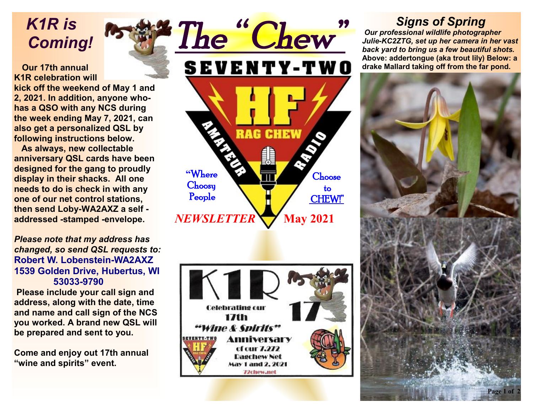*K1R is Coming!* 

#### **Our 17th annual K1R celebration will**

**kick off the weekend of May 1 and 2, 2021. In addition, anyone whohas a QSO with any NCS during the week ending May 7, 2021, can also get a personalized QSL by following instructions below.** 

 **As always, new collectable anniversary QSL cards have been designed for the gang to proudly display in their shacks. All one needs to do is check in with any one of our net control stations, then send Loby-WA2AXZ a self addressed -stamped -envelope.** 

*Please note that my address has changed, so send QSL requests to:*  **Robert W. Lobenstein-WA2AXZ 1539 Golden Drive, Hubertus, WI 53033-9790** 

 **Please include your call sign and address, along with the date, time and name and call sign of the NCS you worked. A brand new QSL will be prepared and sent to you.** 

**Come and enjoy out 17th annual "wine and spirits" event.**





## *Signs of Spring*

 *Our professional wildlife photographer Julie-KC2ZTG, set up her camera in her vast back yard to bring us a few beautiful shots.*  **Above: addertongue (aka trout lily) Below: a drake Mallard taking off from the far pond.**